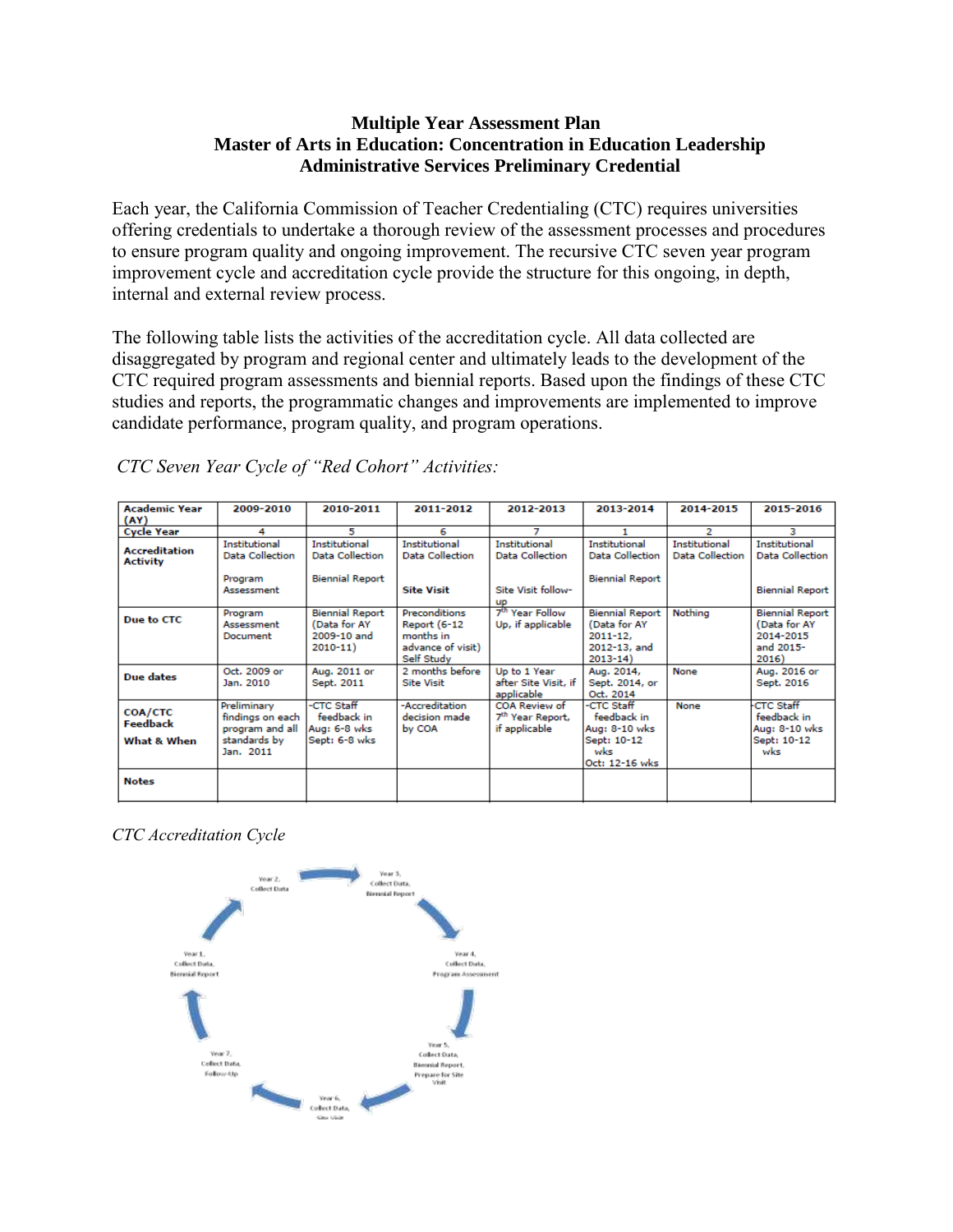## **Multiple Year Assessment Plan Master of Arts in Education: Concentration in Education Leadership Administrative Services Preliminary Credential**

Each year, the California Commission of Teacher Credentialing (CTC) requires universities offering credentials to undertake a thorough review of the assessment processes and procedures to ensure program quality and ongoing improvement. The recursive CTC seven year program improvement cycle and accreditation cycle provide the structure for this ongoing, in depth, internal and external review process.

The following table lists the activities of the accreditation cycle. All data collected are disaggregated by program and regional center and ultimately leads to the development of the CTC required program assessments and biennial reports. Based upon the findings of these CTC studies and reports, the programmatic changes and improvements are implemented to improve candidate performance, program quality, and program operations.

| <b>Academic Year</b><br>(AY)              | 2009-2010                                                                       | 2010-2011                                                             | 2011-2012                                                                            | 2012-2013                                                      | 2013-2014                                                                            | 2014-2015                               | 2015-2016                                                                 |
|-------------------------------------------|---------------------------------------------------------------------------------|-----------------------------------------------------------------------|--------------------------------------------------------------------------------------|----------------------------------------------------------------|--------------------------------------------------------------------------------------|-----------------------------------------|---------------------------------------------------------------------------|
| <b>Cycle Year</b>                         | 4                                                                               | 5.                                                                    | 6                                                                                    |                                                                |                                                                                      | 2                                       | з                                                                         |
| <b>Accreditation</b><br><b>Activity</b>   | Institutional<br>Data Collection                                                | Institutional<br>Data Collection                                      | Institutional<br>Data Collection                                                     | Institutional<br>Data Collection                               | Institutional<br><b>Data Collection</b>                                              | Institutional<br><b>Data Collection</b> | Institutional<br><b>Data Collection</b>                                   |
|                                           | Program<br>Assessment                                                           | <b>Biennial Report</b>                                                | <b>Site Visit</b>                                                                    | Site Visit follow-<br><b>UD</b>                                | <b>Biennial Report</b>                                                               |                                         | <b>Biennial Report</b>                                                    |
| Due to CTC                                | Program<br>Assessment<br>Document                                               | <b>Biennial Report</b><br>(Data for AY<br>2009-10 and<br>$2010 - 11)$ | Preconditions<br><b>Report (6-12</b><br>months in<br>advance of visit)<br>Self Study | 7 <sup>th</sup> Year Follow<br>Up, if applicable               | <b>Biennial Report</b><br>(Data for AY<br>$2011 - 12$<br>2012-13, and<br>$2013 - 14$ | Nothina                                 | <b>Biennial Report</b><br>(Data for AY<br>2014-2015<br>and 2015-<br>2016) |
| Due dates                                 | Oct. 2009 or<br>Jan. 2010                                                       | Aug. 2011 or<br>Sept. 2011                                            | 2 months before<br><b>Site Visit</b>                                                 | Up to 1 Year<br>after Site Visit, if<br>applicable             | Aug. 2014,<br>Sept. 2014, or<br>Oct. 2014                                            | None                                    | Aug. 2016 or<br>Sept. 2016                                                |
| <b>COA/CTC</b><br>Feedback<br>What & When | Preliminary<br>findings on each<br>program and all<br>standards by<br>Jan. 2011 | -CTC Staff<br>feedback in<br>Aug: 6-8 wks<br>Sept: 6-8 wks            | -Accreditation<br>decision made<br>by COA                                            | COA Review of<br>7 <sup>th</sup> Year Report,<br>if applicable | -CTC Staff<br>feedback in<br>Aug: 8-10 wks<br>Sept: 10-12<br>wks<br>Oct: 12-16 wks   | None                                    | <b>CTC Staff</b><br>feedback in<br>Aug: 8-10 wks<br>Sept: 10-12<br>wks    |
| <b>Notes</b>                              |                                                                                 |                                                                       |                                                                                      |                                                                |                                                                                      |                                         |                                                                           |

*CTC Seven Year Cycle of "Red Cohort" Activities:*

*CTC Accreditation Cycle*

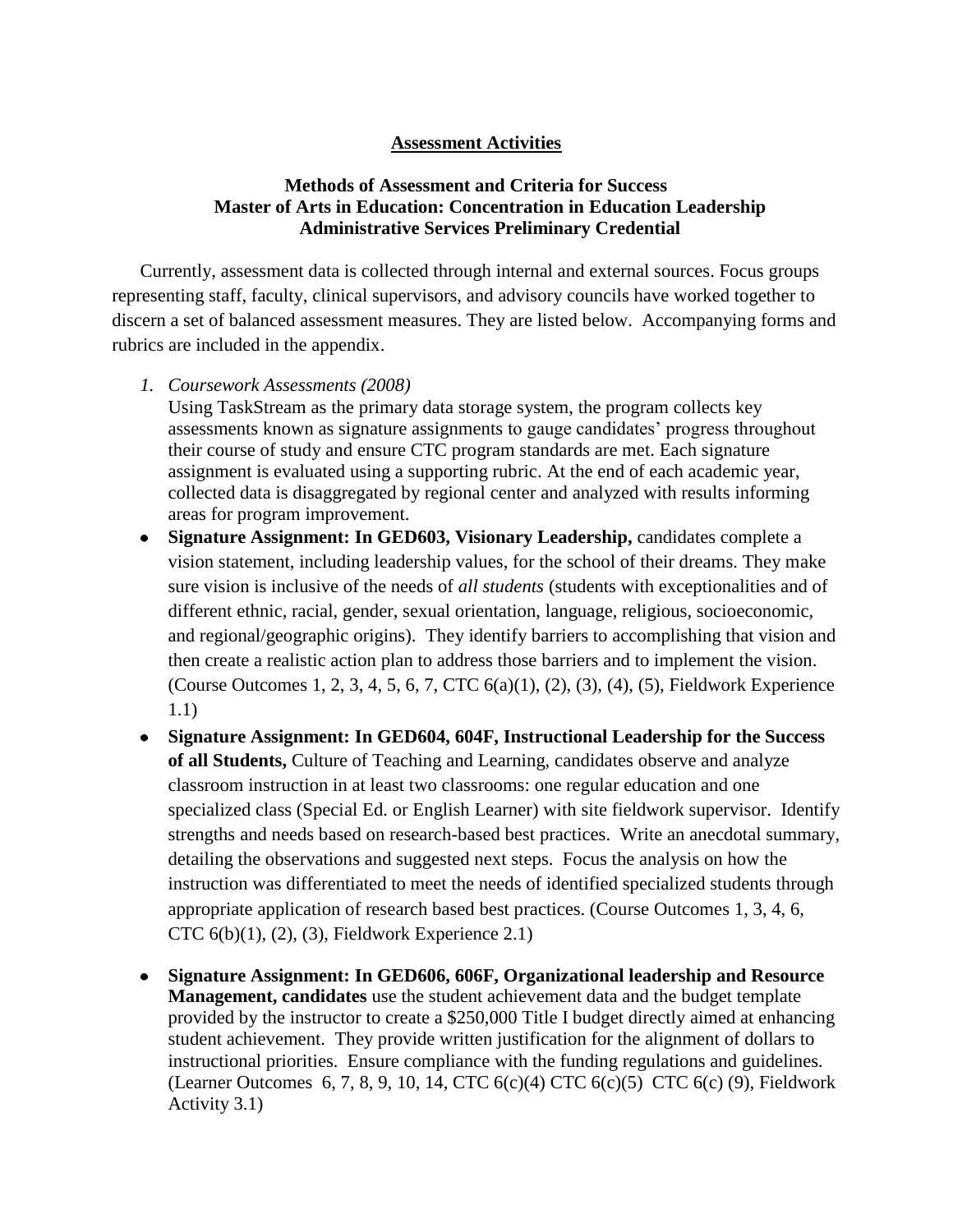## **Assessment Activities**

## **Methods of Assessment and Criteria for Success Master of Arts in Education: Concentration in Education Leadership Administrative Services Preliminary Credential**

Currently, assessment data is collected through internal and external sources. Focus groups representing staff, faculty, clinical supervisors, and advisory councils have worked together to discern a set of balanced assessment measures. They are listed below. Accompanying forms and rubrics are included in the appendix.

*1. Coursework Assessments (2008)*

Using TaskStream as the primary data storage system, the program collects key assessments known as signature assignments to gauge candidates' progress throughout their course of study and ensure CTC program standards are met. Each signature assignment is evaluated using a supporting rubric. At the end of each academic year, collected data is disaggregated by regional center and analyzed with results informing areas for program improvement.

- **Signature Assignment: In GED603, Visionary Leadership,** candidates complete a vision statement, including leadership values, for the school of their dreams. They make sure vision is inclusive of the needs of *all students* (students with exceptionalities and of different ethnic, racial, gender, sexual orientation, language, religious, socioeconomic, and regional/geographic origins). They identify barriers to accomplishing that vision and then create a realistic action plan to address those barriers and to implement the vision. (Course Outcomes 1, 2, 3, 4, 5, 6, 7, CTC 6(a)(1), (2), (3), (4), (5), Fieldwork Experience 1.1)
- **Signature Assignment: In GED604, 604F, Instructional Leadership for the Success of all Students,** Culture of Teaching and Learning, candidates observe and analyze classroom instruction in at least two classrooms: one regular education and one specialized class (Special Ed. or English Learner) with site fieldwork supervisor. Identify strengths and needs based on research-based best practices. Write an anecdotal summary, detailing the observations and suggested next steps. Focus the analysis on how the instruction was differentiated to meet the needs of identified specialized students through appropriate application of research based best practices. (Course Outcomes 1, 3, 4, 6, CTC  $6(b)(1)$ ,  $(2)$ ,  $(3)$ , Fieldwork Experience 2.1)
- **Signature Assignment: In GED606, 606F, Organizational leadership and Resource Management, candidates** use the student achievement data and the budget template provided by the instructor to create a \$250,000 Title I budget directly aimed at enhancing student achievement. They provide written justification for the alignment of dollars to instructional priorities. Ensure compliance with the funding regulations and guidelines*.* (Learner Outcomes 6, 7, 8, 9, 10, 14, CTC 6(c)(4) CTC 6(c)(5) CTC 6(c) (9), Fieldwork Activity 3.1)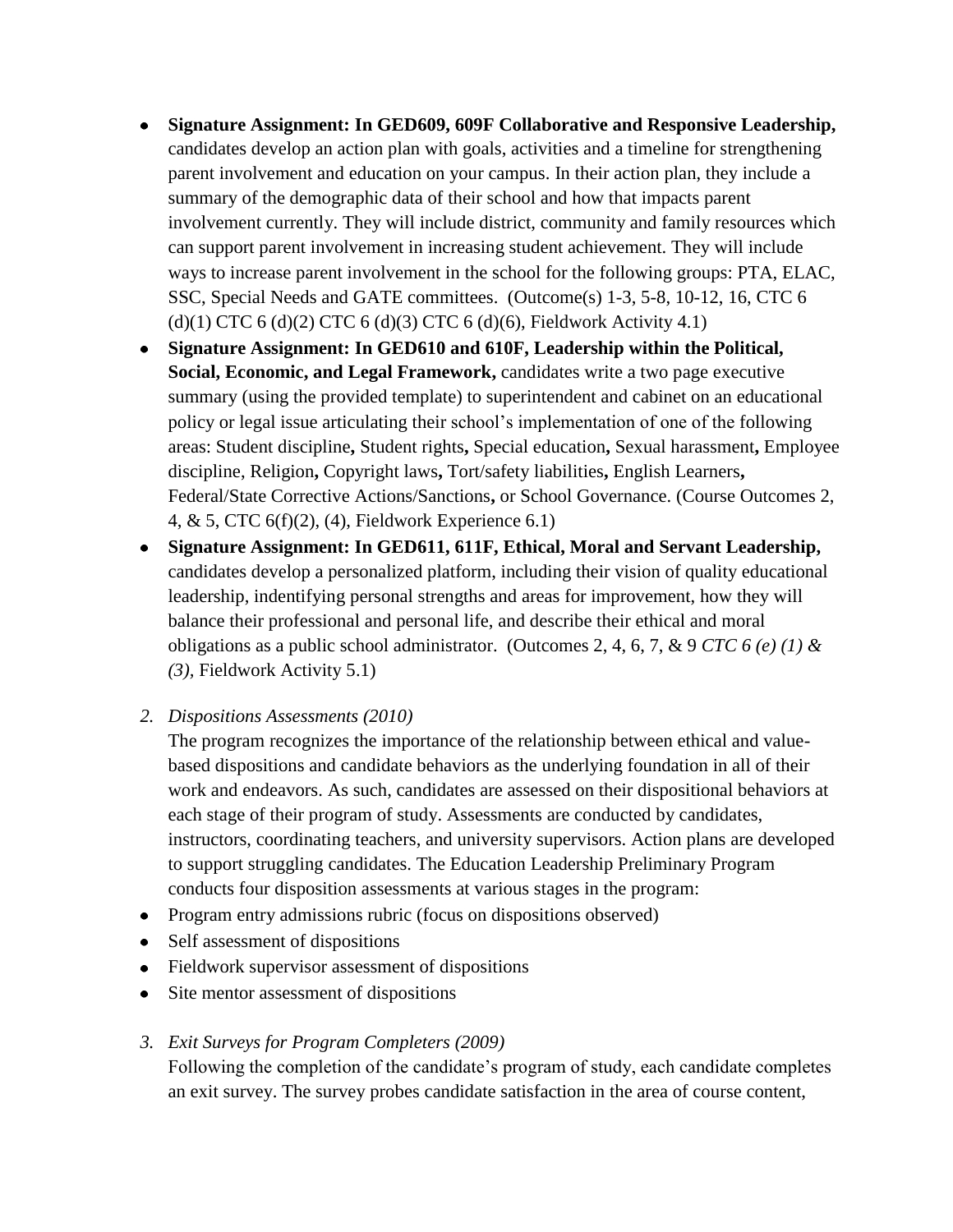- **Signature Assignment: In GED609, 609F Collaborative and Responsive Leadership,**  candidates develop an action plan with goals, activities and a timeline for strengthening parent involvement and education on your campus. In their action plan, they include a summary of the demographic data of their school and how that impacts parent involvement currently. They will include district, community and family resources which can support parent involvement in increasing student achievement. They will include ways to increase parent involvement in the school for the following groups: PTA, ELAC, SSC, Special Needs and GATE committees. (Outcome(s) 1-3, 5-8, 10-12, 16, CTC 6  $(d)(1)$  CTC 6  $(d)(2)$  CTC 6  $(d)(3)$  CTC 6  $(d)(6)$ , Fieldwork Activity 4.1)
- **Signature Assignment: In GED610 and 610F, Leadership within the Political, Social, Economic, and Legal Framework,** candidates write a two page executive summary (using the provided template) to superintendent and cabinet on an educational policy or legal issue articulating their school's implementation of one of the following areas: Student discipline**,** Student rights**,** Special education**,** Sexual harassment**,** Employee discipline, Religion**,** Copyright laws**,** Tort/safety liabilities**,** English Learners**,**  Federal/State Corrective Actions/Sanctions**,** or School Governance. (Course Outcomes 2, 4, & 5, CTC 6(f)(2), (4), Fieldwork Experience 6.1)
- **Signature Assignment: In GED611, 611F, Ethical, Moral and Servant Leadership,**  candidates develop a personalized platform, including their vision of quality educational leadership, indentifying personal strengths and areas for improvement, how they will balance their professional and personal life, and describe their ethical and moral obligations as a public school administrator. (Outcomes 2, 4, 6, 7, & 9 *CTC 6 (e) (1) & (3),* Fieldwork Activity 5.1)
- *2. Dispositions Assessments (2010)*

The program recognizes the importance of the relationship between ethical and valuebased dispositions and candidate behaviors as the underlying foundation in all of their work and endeavors. As such, candidates are assessed on their dispositional behaviors at each stage of their program of study. Assessments are conducted by candidates, instructors, coordinating teachers, and university supervisors. Action plans are developed to support struggling candidates. The Education Leadership Preliminary Program conducts four disposition assessments at various stages in the program:

- Program entry admissions rubric (focus on dispositions observed)
- Self assessment of dispositions
- Fieldwork supervisor assessment of dispositions
- Site mentor assessment of dispositions
- *3. Exit Surveys for Program Completers (2009)*

Following the completion of the candidate's program of study, each candidate completes an exit survey. The survey probes candidate satisfaction in the area of course content,